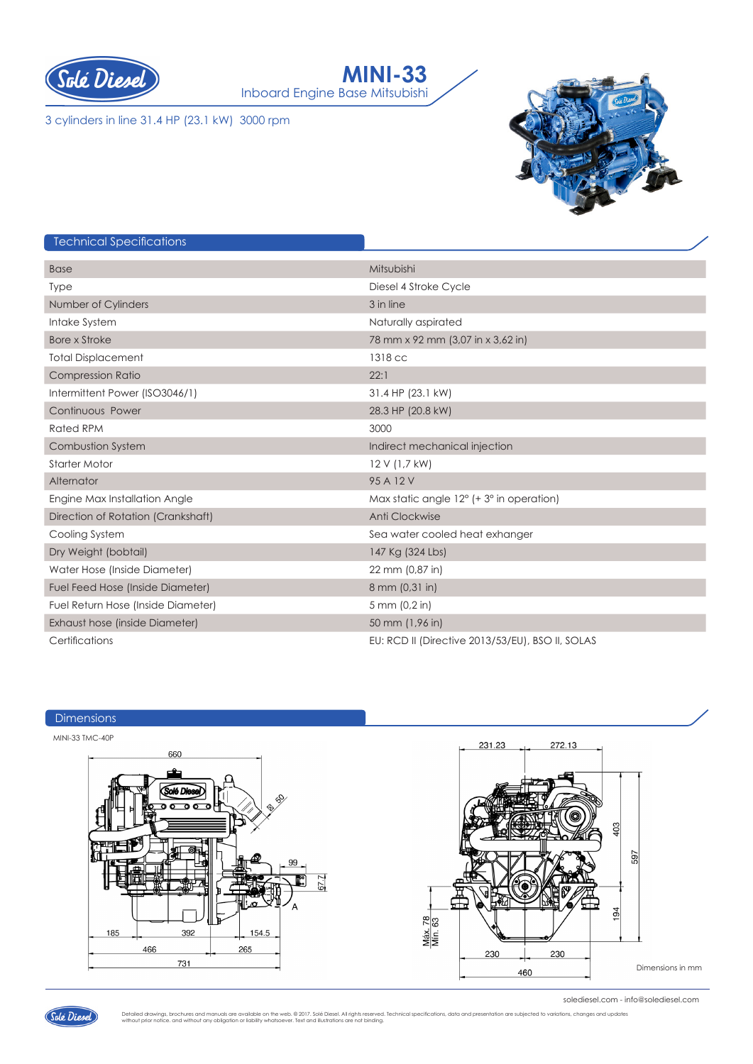



3 cylinders in line 31.4 HP (23.1 kW) 3000 rpm



# Technical Specifications

| <b>Base</b>                        | Mitsubishi                                        |
|------------------------------------|---------------------------------------------------|
| <b>Type</b>                        | Diesel 4 Stroke Cycle                             |
| Number of Cylinders                | 3 in line                                         |
| Intake System                      | Naturally aspirated                               |
| <b>Bore x Stroke</b>               | 78 mm x 92 mm (3,07 in x 3,62 in)                 |
| <b>Total Displacement</b>          | 1318 cc                                           |
| <b>Compression Ratio</b>           | 22:1                                              |
| Intermittent Power (ISO3046/1)     | 31.4 HP (23.1 kW)                                 |
| Continuous Power                   | 28.3 HP (20.8 kW)                                 |
| <b>Rated RPM</b>                   | 3000                                              |
| <b>Combustion System</b>           | Indirect mechanical injection                     |
| <b>Starter Motor</b>               | 12 V (1,7 kW)                                     |
| Alternator                         | 95 A 12 V                                         |
| Engine Max Installation Angle      | Max static angle $12^{\circ}$ (+ 3° in operation) |
| Direction of Rotation (Crankshaft) | Anti Clockwise                                    |
| Cooling System                     | Sea water cooled heat exhanger                    |
| Dry Weight (bobtail)               | 147 Kg (324 Lbs)                                  |
| Water Hose (Inside Diameter)       | 22 mm (0,87 in)                                   |
| Fuel Feed Hose (Inside Diameter)   | 8 mm (0,31 in)                                    |
| Fuel Return Hose (Inside Diameter) | 5 mm (0,2 in)                                     |
| Exhaust hose (inside Diameter)     | 50 mm (1,96 in)                                   |
| Certifications                     | EU: RCD II (Directive 2013/53/EU), BSO II, SOLAS  |





solediesel.com - info@solediesel.com